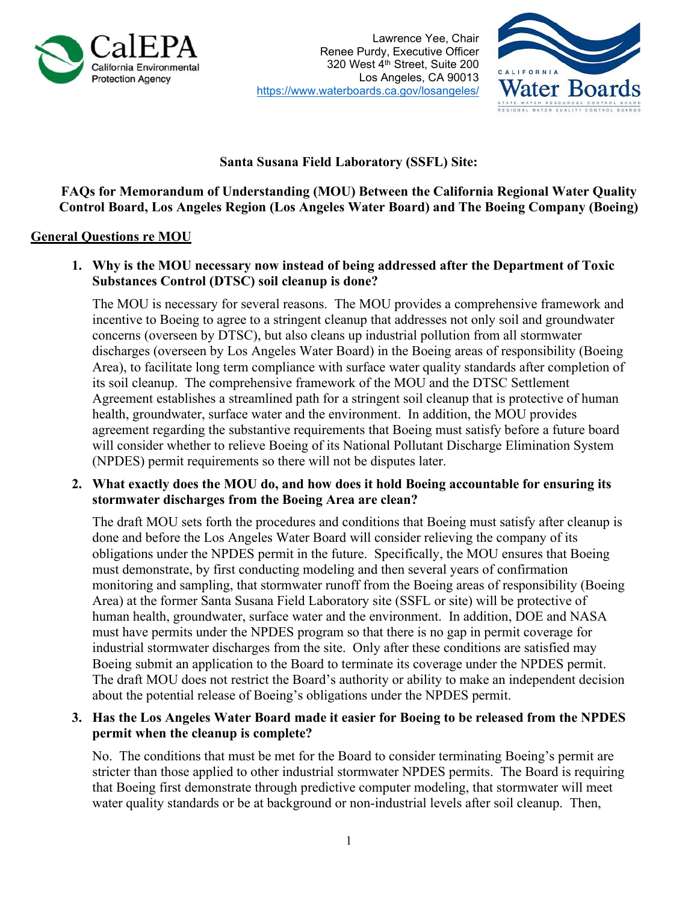

Lawrence Yee, Chair Renee Purdy, Executive Officer 320 West 4th Street, Suite 200 Los Angeles, CA 90013 https://www.waterboards.ca.gov/losangeles/



# **Santa Susana Field Laboratory (SSFL) Site:**

**FAQs for Memorandum of Understanding (MOU) Between the California Regional Water Quality Control Board, Los Angeles Region (Los Angeles Water Board) and The Boeing Company (Boeing)**

### **General Questions re MOU**

**1. Why is the MOU necessary now instead of being addressed after the Department of Toxic Substances Control (DTSC) soil cleanup is done?**

The MOU is necessary for several reasons. The MOU provides a comprehensive framework and incentive to Boeing to agree to a stringent cleanup that addresses not only soil and groundwater concerns (overseen by DTSC), but also cleans up industrial pollution from all stormwater discharges (overseen by Los Angeles Water Board) in the Boeing areas of responsibility (Boeing Area), to facilitate long term compliance with surface water quality standards after completion of its soil cleanup. The comprehensive framework of the MOU and the DTSC Settlement Agreement establishes a streamlined path for a stringent soil cleanup that is protective of human health, groundwater, surface water and the environment. In addition, the MOU provides agreement regarding the substantive requirements that Boeing must satisfy before a future board will consider whether to relieve Boeing of its National Pollutant Discharge Elimination System (NPDES) permit requirements so there will not be disputes later.

**2. What exactly does the MOU do, and how does it hold Boeing accountable for ensuring its stormwater discharges from the Boeing Area are clean?**

The draft MOU sets forth the procedures and conditions that Boeing must satisfy after cleanup is done and before the Los Angeles Water Board will consider relieving the company of its obligations under the NPDES permit in the future. Specifically, the MOU ensures that Boeing must demonstrate, by first conducting modeling and then several years of confirmation monitoring and sampling, that stormwater runoff from the Boeing areas of responsibility (Boeing Area) at the former Santa Susana Field Laboratory site (SSFL or site) will be protective of human health, groundwater, surface water and the environment. In addition, DOE and NASA must have permits under the NPDES program so that there is no gap in permit coverage for industrial stormwater discharges from the site. Only after these conditions are satisfied may Boeing submit an application to the Board to terminate its coverage under the NPDES permit. The draft MOU does not restrict the Board's authority or ability to make an independent decision about the potential release of Boeing's obligations under the NPDES permit.

# **3. Has the Los Angeles Water Board made it easier for Boeing to be released from the NPDES permit when the cleanup is complete?**

No. The conditions that must be met for the Board to consider terminating Boeing's permit are stricter than those applied to other industrial stormwater NPDES permits. The Board is requiring that Boeing first demonstrate through predictive computer modeling, that stormwater will meet water quality standards or be at background or non-industrial levels after soil cleanup. Then,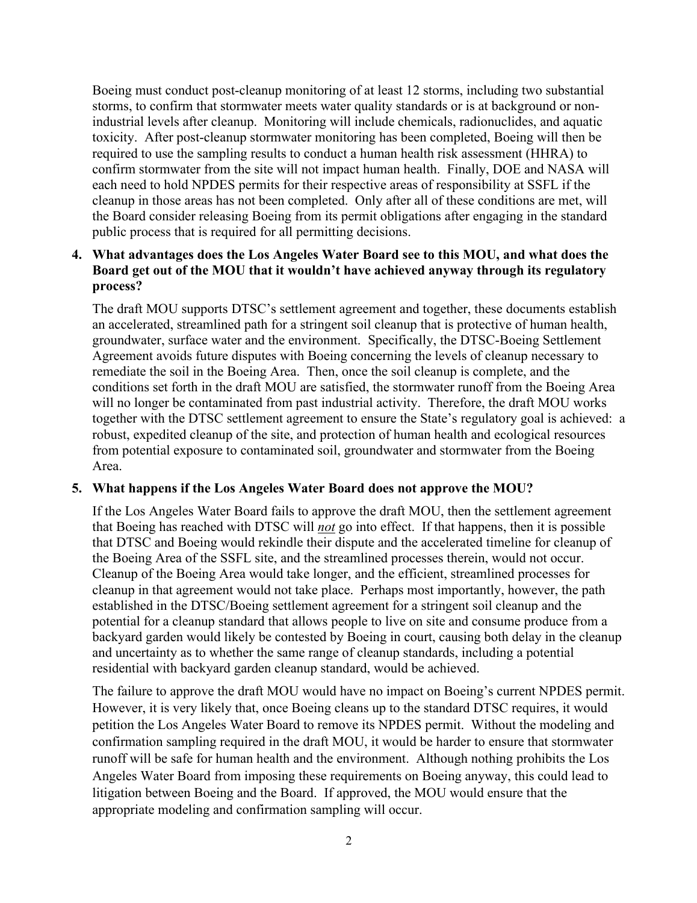Boeing must conduct post-cleanup monitoring of at least 12 storms, including two substantial storms, to confirm that stormwater meets water quality standards or is at background or nonindustrial levels after cleanup. Monitoring will include chemicals, radionuclides, and aquatic toxicity. After post-cleanup stormwater monitoring has been completed, Boeing will then be required to use the sampling results to conduct a human health risk assessment (HHRA) to confirm stormwater from the site will not impact human health. Finally, DOE and NASA will each need to hold NPDES permits for their respective areas of responsibility at SSFL if the cleanup in those areas has not been completed. Only after all of these conditions are met, will the Board consider releasing Boeing from its permit obligations after engaging in the standard public process that is required for all permitting decisions.

# **4. What advantages does the Los Angeles Water Board see to this MOU, and what does the Board get out of the MOU that it wouldn't have achieved anyway through its regulatory process?**

The draft MOU supports DTSC's settlement agreement and together, these documents establish an accelerated, streamlined path for a stringent soil cleanup that is protective of human health, groundwater, surface water and the environment. Specifically, the DTSC-Boeing Settlement Agreement avoids future disputes with Boeing concerning the levels of cleanup necessary to remediate the soil in the Boeing Area. Then, once the soil cleanup is complete, and the conditions set forth in the draft MOU are satisfied, the stormwater runoff from the Boeing Area will no longer be contaminated from past industrial activity. Therefore, the draft MOU works together with the DTSC settlement agreement to ensure the State's regulatory goal is achieved: a robust, expedited cleanup of the site, and protection of human health and ecological resources from potential exposure to contaminated soil, groundwater and stormwater from the Boeing Area.

### **5. What happens if the Los Angeles Water Board does not approve the MOU?**

If the Los Angeles Water Board fails to approve the draft MOU, then the settlement agreement that Boeing has reached with DTSC will *not* go into effect. If that happens, then it is possible that DTSC and Boeing would rekindle their dispute and the accelerated timeline for cleanup of the Boeing Area of the SSFL site, and the streamlined processes therein, would not occur. Cleanup of the Boeing Area would take longer, and the efficient, streamlined processes for cleanup in that agreement would not take place. Perhaps most importantly, however, the path established in the DTSC/Boeing settlement agreement for a stringent soil cleanup and the potential for a cleanup standard that allows people to live on site and consume produce from a backyard garden would likely be contested by Boeing in court, causing both delay in the cleanup and uncertainty as to whether the same range of cleanup standards, including a potential residential with backyard garden cleanup standard, would be achieved.

The failure to approve the draft MOU would have no impact on Boeing's current NPDES permit. However, it is very likely that, once Boeing cleans up to the standard DTSC requires, it would petition the Los Angeles Water Board to remove its NPDES permit. Without the modeling and confirmation sampling required in the draft MOU, it would be harder to ensure that stormwater runoff will be safe for human health and the environment. Although nothing prohibits the Los Angeles Water Board from imposing these requirements on Boeing anyway, this could lead to litigation between Boeing and the Board. If approved, the MOU would ensure that the appropriate modeling and confirmation sampling will occur.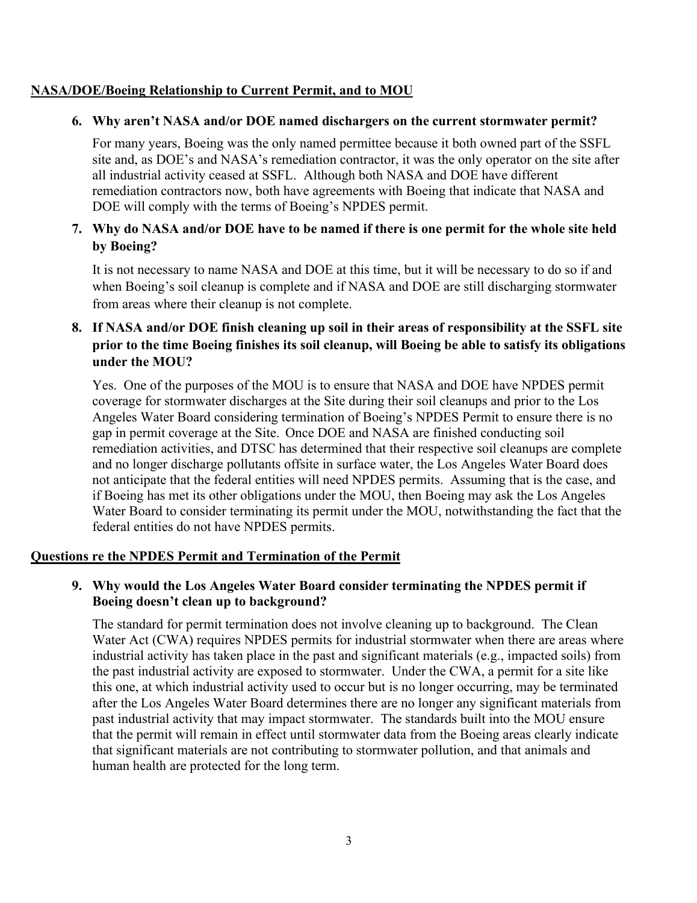### **NASA/DOE/Boeing Relationship to Current Permit, and to MOU**

### **6. Why aren't NASA and/or DOE named dischargers on the current stormwater permit?**

For many years, Boeing was the only named permittee because it both owned part of the SSFL site and, as DOE's and NASA's remediation contractor, it was the only operator on the site after all industrial activity ceased at SSFL. Although both NASA and DOE have different remediation contractors now, both have agreements with Boeing that indicate that NASA and DOE will comply with the terms of Boeing's NPDES permit.

# **7. Why do NASA and/or DOE have to be named if there is one permit for the whole site held by Boeing?**

It is not necessary to name NASA and DOE at this time, but it will be necessary to do so if and when Boeing's soil cleanup is complete and if NASA and DOE are still discharging stormwater from areas where their cleanup is not complete.

# **8. If NASA and/or DOE finish cleaning up soil in their areas of responsibility at the SSFL site prior to the time Boeing finishes its soil cleanup, will Boeing be able to satisfy its obligations under the MOU?**

Yes. One of the purposes of the MOU is to ensure that NASA and DOE have NPDES permit coverage for stormwater discharges at the Site during their soil cleanups and prior to the Los Angeles Water Board considering termination of Boeing's NPDES Permit to ensure there is no gap in permit coverage at the Site. Once DOE and NASA are finished conducting soil remediation activities, and DTSC has determined that their respective soil cleanups are complete and no longer discharge pollutants offsite in surface water, the Los Angeles Water Board does not anticipate that the federal entities will need NPDES permits. Assuming that is the case, and if Boeing has met its other obligations under the MOU, then Boeing may ask the Los Angeles Water Board to consider terminating its permit under the MOU, notwithstanding the fact that the federal entities do not have NPDES permits.

### **Questions re the NPDES Permit and Termination of the Permit**

# **9. Why would the Los Angeles Water Board consider terminating the NPDES permit if Boeing doesn't clean up to background?**

The standard for permit termination does not involve cleaning up to background. The Clean Water Act (CWA) requires NPDES permits for industrial stormwater when there are areas where industrial activity has taken place in the past and significant materials (e.g., impacted soils) from the past industrial activity are exposed to stormwater. Under the CWA, a permit for a site like this one, at which industrial activity used to occur but is no longer occurring, may be terminated after the Los Angeles Water Board determines there are no longer any significant materials from past industrial activity that may impact stormwater. The standards built into the MOU ensure that the permit will remain in effect until stormwater data from the Boeing areas clearly indicate that significant materials are not contributing to stormwater pollution, and that animals and human health are protected for the long term.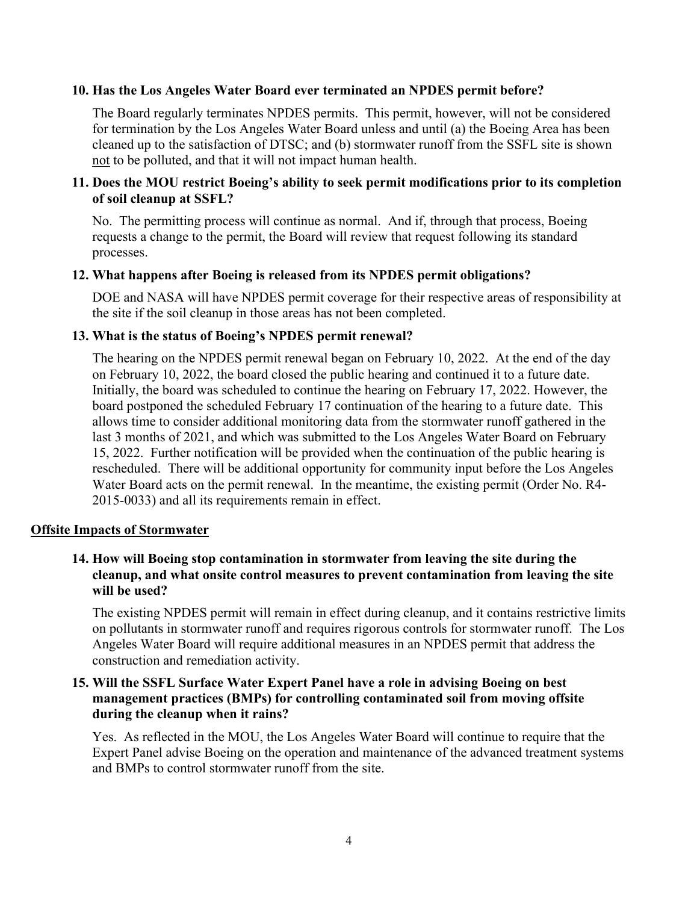#### **10. Has the Los Angeles Water Board ever terminated an NPDES permit before?**

The Board regularly terminates NPDES permits. This permit, however, will not be considered for termination by the Los Angeles Water Board unless and until (a) the Boeing Area has been cleaned up to the satisfaction of DTSC; and (b) stormwater runoff from the SSFL site is shown not to be polluted, and that it will not impact human health.

### **11. Does the MOU restrict Boeing's ability to seek permit modifications prior to its completion of soil cleanup at SSFL?**

No. The permitting process will continue as normal. And if, through that process, Boeing requests a change to the permit, the Board will review that request following its standard processes.

### **12. What happens after Boeing is released from its NPDES permit obligations?**

DOE and NASA will have NPDES permit coverage for their respective areas of responsibility at the site if the soil cleanup in those areas has not been completed.

#### **13. What is the status of Boeing's NPDES permit renewal?**

The hearing on the NPDES permit renewal began on February 10, 2022. At the end of the day on February 10, 2022, the board closed the public hearing and continued it to a future date. Initially, the board was scheduled to continue the hearing on February 17, 2022. However, the board postponed the scheduled February 17 continuation of the hearing to a future date. This allows time to consider additional monitoring data from the stormwater runoff gathered in the last 3 months of 2021, and which was submitted to the Los Angeles Water Board on February 15, 2022. Further notification will be provided when the continuation of the public hearing is rescheduled. There will be additional opportunity for community input before the Los Angeles Water Board acts on the permit renewal. In the meantime, the existing permit (Order No. R4- 2015-0033) and all its requirements remain in effect.

#### **Offsite Impacts of Stormwater**

### **14. How will Boeing stop contamination in stormwater from leaving the site during the cleanup, and what onsite control measures to prevent contamination from leaving the site will be used?**

The existing NPDES permit will remain in effect during cleanup, and it contains restrictive limits on pollutants in stormwater runoff and requires rigorous controls for stormwater runoff. The Los Angeles Water Board will require additional measures in an NPDES permit that address the construction and remediation activity.

### **15. Will the SSFL Surface Water Expert Panel have a role in advising Boeing on best management practices (BMPs) for controlling contaminated soil from moving offsite during the cleanup when it rains?**

Yes. As reflected in the MOU, the Los Angeles Water Board will continue to require that the Expert Panel advise Boeing on the operation and maintenance of the advanced treatment systems and BMPs to control stormwater runoff from the site.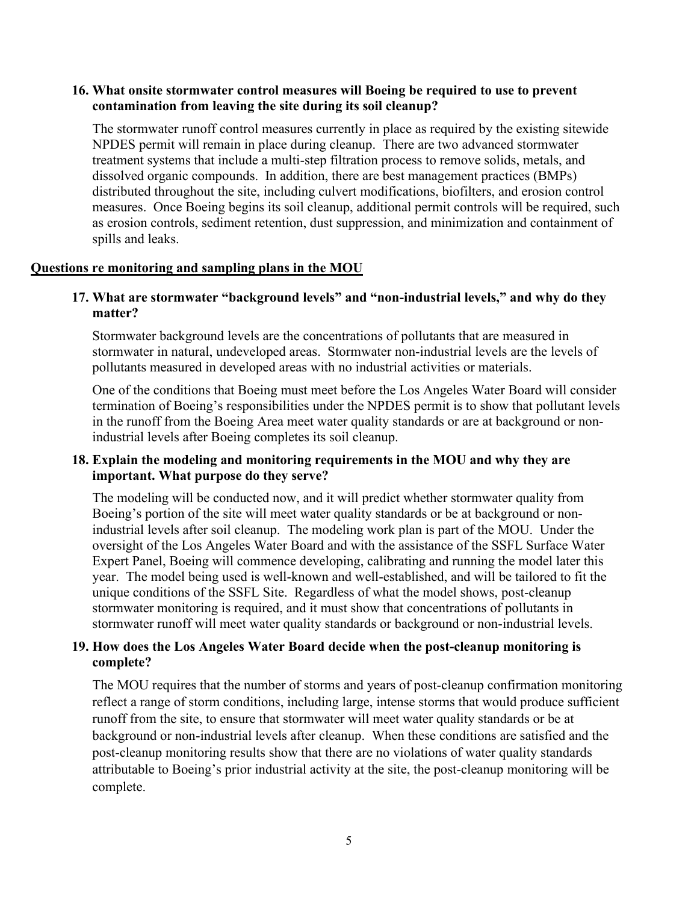### **16. What onsite stormwater control measures will Boeing be required to use to prevent contamination from leaving the site during its soil cleanup?**

The stormwater runoff control measures currently in place as required by the existing sitewide NPDES permit will remain in place during cleanup. There are two advanced stormwater treatment systems that include a multi-step filtration process to remove solids, metals, and dissolved organic compounds. In addition, there are best management practices (BMPs) distributed throughout the site, including culvert modifications, biofilters, and erosion control measures. Once Boeing begins its soil cleanup, additional permit controls will be required, such as erosion controls, sediment retention, dust suppression, and minimization and containment of spills and leaks.

#### **Questions re monitoring and sampling plans in the MOU**

# **17. What are stormwater "background levels" and "non-industrial levels," and why do they matter?**

Stormwater background levels are the concentrations of pollutants that are measured in stormwater in natural, undeveloped areas. Stormwater non-industrial levels are the levels of pollutants measured in developed areas with no industrial activities or materials.

One of the conditions that Boeing must meet before the Los Angeles Water Board will consider termination of Boeing's responsibilities under the NPDES permit is to show that pollutant levels in the runoff from the Boeing Area meet water quality standards or are at background or nonindustrial levels after Boeing completes its soil cleanup.

### **18. Explain the modeling and monitoring requirements in the MOU and why they are important. What purpose do they serve?**

The modeling will be conducted now, and it will predict whether stormwater quality from Boeing's portion of the site will meet water quality standards or be at background or nonindustrial levels after soil cleanup. The modeling work plan is part of the MOU. Under the oversight of the Los Angeles Water Board and with the assistance of the SSFL Surface Water Expert Panel, Boeing will commence developing, calibrating and running the model later this year. The model being used is well-known and well-established, and will be tailored to fit the unique conditions of the SSFL Site. Regardless of what the model shows, post-cleanup stormwater monitoring is required, and it must show that concentrations of pollutants in stormwater runoff will meet water quality standards or background or non-industrial levels.

### **19. How does the Los Angeles Water Board decide when the post-cleanup monitoring is complete?**

The MOU requires that the number of storms and years of post-cleanup confirmation monitoring reflect a range of storm conditions, including large, intense storms that would produce sufficient runoff from the site, to ensure that stormwater will meet water quality standards or be at background or non-industrial levels after cleanup. When these conditions are satisfied and the post-cleanup monitoring results show that there are no violations of water quality standards attributable to Boeing's prior industrial activity at the site, the post-cleanup monitoring will be complete.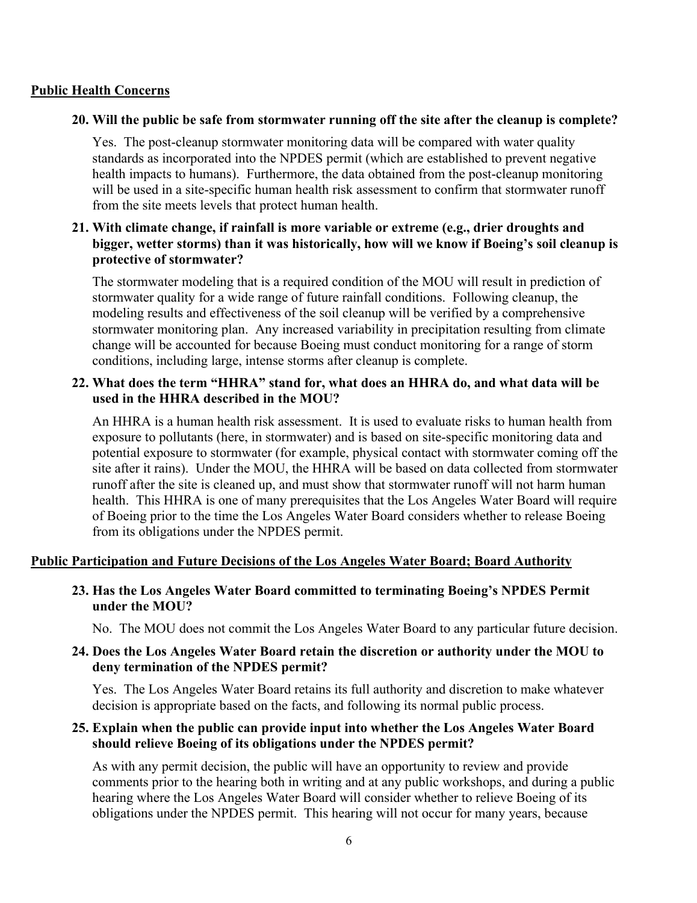### **Public Health Concerns**

#### **20. Will the public be safe from stormwater running off the site after the cleanup is complete?**

Yes. The post-cleanup stormwater monitoring data will be compared with water quality standards as incorporated into the NPDES permit (which are established to prevent negative health impacts to humans). Furthermore, the data obtained from the post-cleanup monitoring will be used in a site-specific human health risk assessment to confirm that stormwater runoff from the site meets levels that protect human health.

### **21. With climate change, if rainfall is more variable or extreme (e.g., drier droughts and bigger, wetter storms) than it was historically, how will we know if Boeing's soil cleanup is protective of stormwater?**

The stormwater modeling that is a required condition of the MOU will result in prediction of stormwater quality for a wide range of future rainfall conditions. Following cleanup, the modeling results and effectiveness of the soil cleanup will be verified by a comprehensive stormwater monitoring plan. Any increased variability in precipitation resulting from climate change will be accounted for because Boeing must conduct monitoring for a range of storm conditions, including large, intense storms after cleanup is complete.

### **22. What does the term "HHRA" stand for, what does an HHRA do, and what data will be used in the HHRA described in the MOU?**

An HHRA is a human health risk assessment. It is used to evaluate risks to human health from exposure to pollutants (here, in stormwater) and is based on site-specific monitoring data and potential exposure to stormwater (for example, physical contact with stormwater coming off the site after it rains). Under the MOU, the HHRA will be based on data collected from stormwater runoff after the site is cleaned up, and must show that stormwater runoff will not harm human health. This HHRA is one of many prerequisites that the Los Angeles Water Board will require of Boeing prior to the time the Los Angeles Water Board considers whether to release Boeing from its obligations under the NPDES permit.

# **Public Participation and Future Decisions of the Los Angeles Water Board; Board Authority**

### **23. Has the Los Angeles Water Board committed to terminating Boeing's NPDES Permit under the MOU?**

No. The MOU does not commit the Los Angeles Water Board to any particular future decision.

### **24. Does the Los Angeles Water Board retain the discretion or authority under the MOU to deny termination of the NPDES permit?**

Yes. The Los Angeles Water Board retains its full authority and discretion to make whatever decision is appropriate based on the facts, and following its normal public process.

### **25. Explain when the public can provide input into whether the Los Angeles Water Board should relieve Boeing of its obligations under the NPDES permit?**

As with any permit decision, the public will have an opportunity to review and provide comments prior to the hearing both in writing and at any public workshops, and during a public hearing where the Los Angeles Water Board will consider whether to relieve Boeing of its obligations under the NPDES permit. This hearing will not occur for many years, because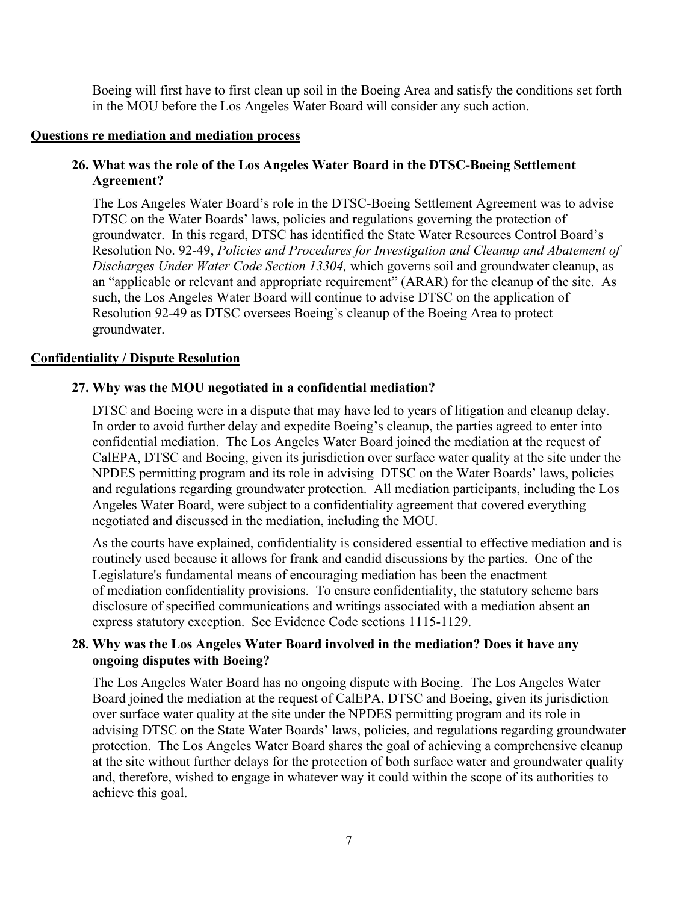Boeing will first have to first clean up soil in the Boeing Area and satisfy the conditions set forth in the MOU before the Los Angeles Water Board will consider any such action.

#### **Questions re mediation and mediation process**

### **26. What was the role of the Los Angeles Water Board in the DTSC-Boeing Settlement Agreement?**

The Los Angeles Water Board's role in the DTSC-Boeing Settlement Agreement was to advise DTSC on the Water Boards' laws, policies and regulations governing the protection of groundwater. In this regard, DTSC has identified the State Water Resources Control Board's Resolution No. 92-49, *Policies and Procedures for Investigation and Cleanup and Abatement of Discharges Under Water Code Section 13304,* which governs soil and groundwater cleanup, as an "applicable or relevant and appropriate requirement" (ARAR) for the cleanup of the site. As such, the Los Angeles Water Board will continue to advise DTSC on the application of Resolution 92-49 as DTSC oversees Boeing's cleanup of the Boeing Area to protect groundwater.

### **Confidentiality / Dispute Resolution**

### **27. Why was the MOU negotiated in a confidential mediation?**

DTSC and Boeing were in a dispute that may have led to years of litigation and cleanup delay. In order to avoid further delay and expedite Boeing's cleanup, the parties agreed to enter into confidential mediation. The Los Angeles Water Board joined the mediation at the request of CalEPA, DTSC and Boeing, given its jurisdiction over surface water quality at the site under the NPDES permitting program and its role in advising DTSC on the Water Boards' laws, policies and regulations regarding groundwater protection. All mediation participants, including the Los Angeles Water Board, were subject to a confidentiality agreement that covered everything negotiated and discussed in the mediation, including the MOU.

As the courts have explained, confidentiality is considered essential to effective mediation and is routinely used because it allows for frank and candid discussions by the parties. One of the Legislature's fundamental means of encouraging mediation has been the enactment of mediation confidentiality provisions. To ensure confidentiality, the statutory scheme bars disclosure of specified communications and writings associated with a mediation absent an express statutory exception. See Evidence Code sections 1115-1129.

### **28. Why was the Los Angeles Water Board involved in the mediation? Does it have any ongoing disputes with Boeing?**

The Los Angeles Water Board has no ongoing dispute with Boeing. The Los Angeles Water Board joined the mediation at the request of CalEPA, DTSC and Boeing, given its jurisdiction over surface water quality at the site under the NPDES permitting program and its role in advising DTSC on the State Water Boards' laws, policies, and regulations regarding groundwater protection. The Los Angeles Water Board shares the goal of achieving a comprehensive cleanup at the site without further delays for the protection of both surface water and groundwater quality and, therefore, wished to engage in whatever way it could within the scope of its authorities to achieve this goal.